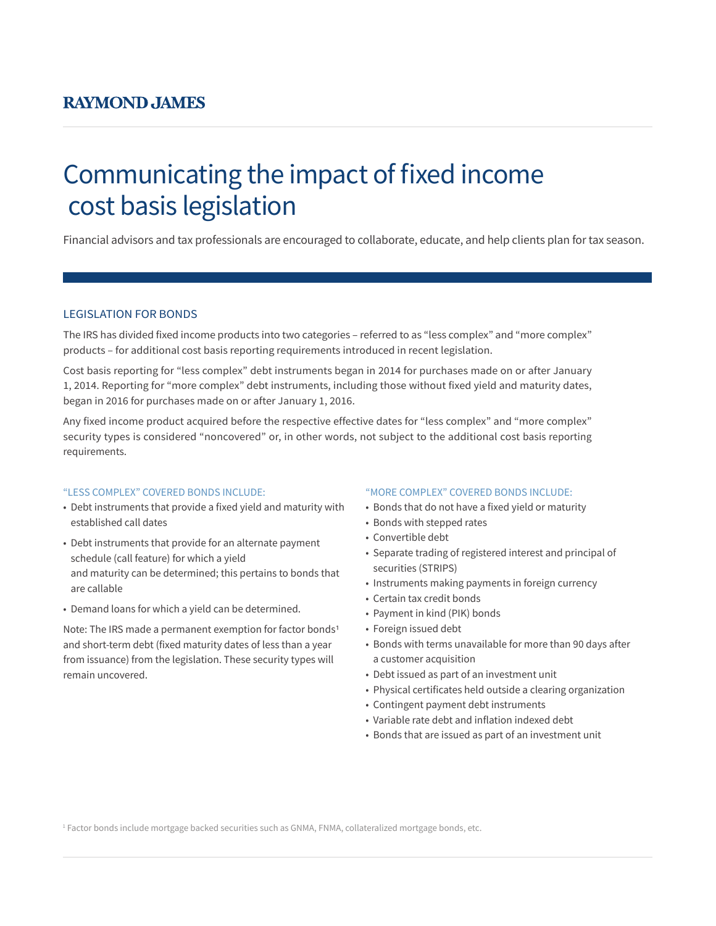# Communicating the impact of fixed income cost basis legislation

Financial advisors and tax professionals are encouraged to collaborate, educate, and help clients plan for tax season.

#### LEGISLATION FOR BONDS

The IRS has divided fixed income products into two categories – referred to as "less complex" and "more complex" products – for additional cost basis reporting requirements introduced in recent legislation.

Cost basis reporting for "less complex" debt instruments began in 2014 for purchases made on or after January 1, 2014. Reporting for "more complex" debt instruments, including those without fixed yield and maturity dates, began in 2016 for purchases made on or after January 1, 2016.

Any fixed income product acquired before the respective effective dates for "less complex" and "more complex" security types is considered "noncovered" or, in other words, not subject to the additional cost basis reporting requirements.

#### "LESS COMPLEX" COVERED BONDS INCLUDE:

- Debt instruments that provide a fixed yield and maturity with established call dates
- Debt instruments that provide for an alternate payment schedule (call feature) for which a yield and maturity can be determined; this pertains to bonds that are callable
- Demand loans for which a yield can be determined.

Note: The IRS made a permanent exemption for factor bonds1 and short-term debt (fixed maturity dates of less than a year from issuance) from the legislation. These security types will remain uncovered.

#### "MORE COMPLEX" COVERED BONDS INCLUDE:

- Bonds that do not have a fixed yield or maturity
- Bonds with stepped rates
- Convertible debt
- Separate trading of registered interest and principal of securities (STRIPS)
- Instruments making payments in foreign currency
- Certain tax credit bonds
- Payment in kind (PIK) bonds
- Foreign issued debt
- Bonds with terms unavailable for more than 90 days after a customer acquisition
- Debt issued as part of an investment unit
- Physical certificates held outside a clearing organization
- Contingent payment debt instruments
- Variable rate debt and inflation indexed debt
- Bonds that are issued as part of an investment unit

1 Factor bonds include mortgage backed securities such as GNMA, FNMA, collateralized mortgage bonds, etc.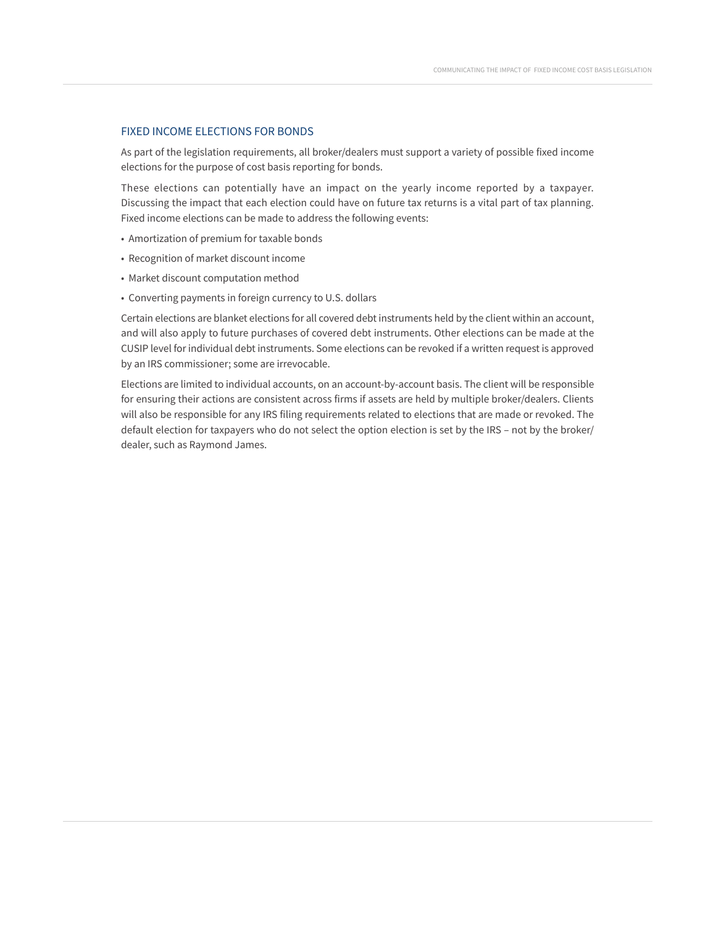#### FIXED INCOME ELECTIONS FOR BONDS

As part of the legislation requirements, all broker/dealers must support a variety of possible fixed income elections for the purpose of cost basis reporting for bonds.

These elections can potentially have an impact on the yearly income reported by a taxpayer. Discussing the impact that each election could have on future tax returns is a vital part of tax planning. Fixed income elections can be made to address the following events:

- Amortization of premium for taxable bonds
- Recognition of market discount income
- Market discount computation method
- Converting payments in foreign currency to U.S. dollars

Certain elections are blanket elections for all covered debt instruments held by the client within an account, and will also apply to future purchases of covered debt instruments. Other elections can be made at the CUSIP level for individual debt instruments. Some elections can be revoked if a written request is approved by an IRS commissioner; some are irrevocable.

Elections are limited to individual accounts, on an account-by-account basis. The client will be responsible for ensuring their actions are consistent across firms if assets are held by multiple broker/dealers. Clients will also be responsible for any IRS filing requirements related to elections that are made or revoked. The default election for taxpayers who do not select the option election is set by the IRS – not by the broker/ dealer, such as Raymond James.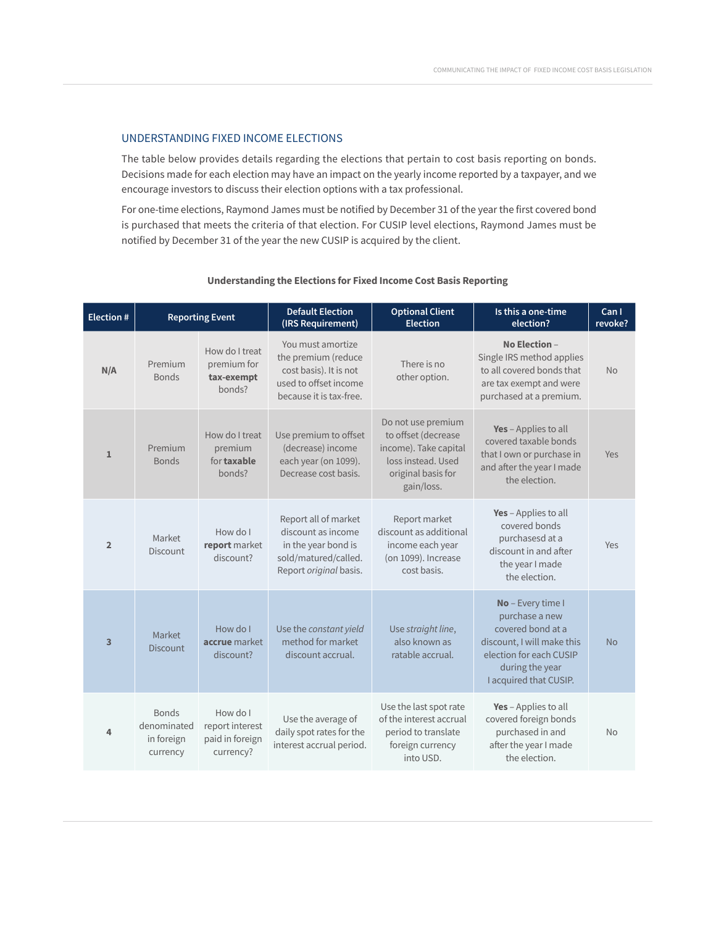#### UNDERSTANDING FIXED INCOME ELECTIONS

The table below provides details regarding the elections that pertain to cost basis reporting on bonds. Decisions made for each election may have an impact on the yearly income reported by a taxpayer, and we encourage investors to discuss their election options with a tax professional.

For one-time elections, Raymond James must be notified by December 31 of the year the first covered bond is purchased that meets the criteria of that election. For CUSIP level elections, Raymond James must be notified by December 31 of the year the new CUSIP is acquired by the client.

| <b>Election #</b> | <b>Reporting Event</b>                                |                                                             | <b>Default Election</b><br>(IRS Requirement)                                                                           | <b>Optional Client</b><br><b>Election</b>                                                                                    | Is this a one-time<br>election?                                                                                                                                | Can I<br>revoke? |
|-------------------|-------------------------------------------------------|-------------------------------------------------------------|------------------------------------------------------------------------------------------------------------------------|------------------------------------------------------------------------------------------------------------------------------|----------------------------------------------------------------------------------------------------------------------------------------------------------------|------------------|
| N/A               | Premium<br><b>Bonds</b>                               | How do I treat<br>premium for<br>tax-exempt<br>bonds?       | You must amortize<br>the premium (reduce<br>cost basis). It is not<br>used to offset income<br>because it is tax-free. | There is no<br>other option.                                                                                                 | No Election -<br>Single IRS method applies<br>to all covered bonds that<br>are tax exempt and were<br>purchased at a premium.                                  | <b>No</b>        |
| $\mathbf{1}$      | Premium<br><b>Bonds</b>                               | How do I treat<br>premium<br>for taxable<br>honds?          | Use premium to offset<br>(decrease) income<br>each year (on 1099).<br>Decrease cost basis.                             | Do not use premium<br>to offset (decrease<br>income). Take capital<br>loss instead. Used<br>original basis for<br>gain/loss. | Yes - Applies to all<br>covered taxable bonds<br>that I own or purchase in<br>and after the year I made<br>the election.                                       | Yes              |
| $\overline{2}$    | Market<br>Discount                                    | How do I<br>report market<br>discount?                      | Report all of market<br>discount as income<br>in the year bond is<br>sold/matured/called.<br>Report original basis.    | Report market<br>discount as additional<br>income each year<br>(on 1099). Increase<br>cost basis.                            | Yes - Applies to all<br>covered bonds<br>purchasesd at a<br>discount in and after<br>the year I made<br>the election.                                          | Yes              |
| 3                 | Market<br><b>Discount</b>                             | How do I<br>accrue market<br>discount?                      | Use the constant yield<br>method for market<br>discount accrual.                                                       | Use straight line,<br>also known as<br>ratable accrual.                                                                      | No - Every time I<br>purchase a new<br>covered bond at a<br>discount, I will make this<br>election for each CUSIP<br>during the year<br>I acquired that CUSIP. | <b>No</b>        |
| 4                 | <b>Bonds</b><br>denominated<br>in foreign<br>currency | How do I<br>report interest<br>paid in foreign<br>currency? | Use the average of<br>daily spot rates for the<br>interest accrual period.                                             | Use the last spot rate<br>of the interest accrual<br>period to translate<br>foreign currency<br>into USD.                    | Yes - Applies to all<br>covered foreign bonds<br>purchased in and<br>after the year I made<br>the election.                                                    | <b>No</b>        |

#### **Understanding the Elections for Fixed Income Cost Basis Reporting**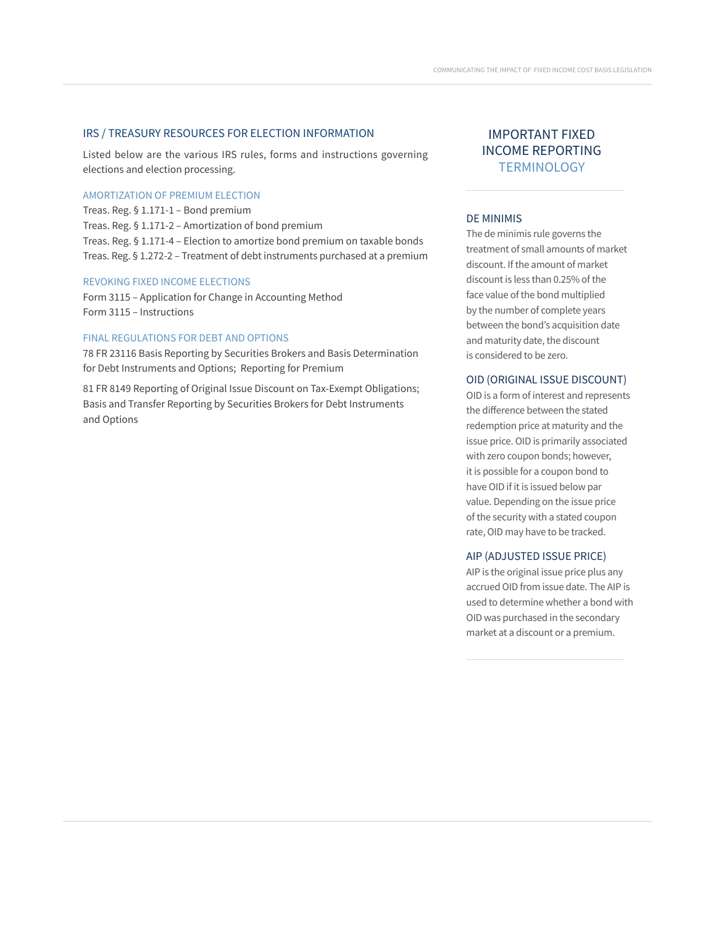#### IRS / TREASURY RESOURCES FOR ELECTION INFORMATION

Listed below are the various IRS rules, forms and instructions governing elections and election processing.

#### AMORTIZATION OF PREMIUM ELECTION

Treas. Reg. § 1.171-1 – Bond premium

Treas. Reg. § 1.171-2 – Amortization of bond premium Treas. Reg. § 1.171-4 – Election to amortize bond premium on taxable bonds Treas. Reg. § 1.272-2 – Treatment of debt instruments purchased at a premium

#### REVOKING FIXED INCOME ELECTIONS

Form 3115 – Application for Change in Accounting Method Form 3115 – Instructions

#### FINAL REGULATIONS FOR DEBT AND OPTIONS

78 FR 23116 Basis Reporting by Securities Brokers and Basis Determination for Debt Instruments and Options; Reporting for Premium

81 FR 8149 Reporting of Original Issue Discount on Tax-Exempt Obligations; Basis and Transfer Reporting by Securities Brokers for Debt Instruments and Options

### IMPORTANT FIXED INCOME REPORTING **TERMINOLOGY**

#### DE MINIMIS

The de minimis rule governs the treatment of small amounts of market discount. If the amount of market discount is less than 0.25% of the face value of the bond multiplied by the number of complete years between the bond's acquisition date and maturity date, the discount is considered to be zero.

#### OID (ORIGINAL ISSUE DISCOUNT)

OID is a form of interest and represents the difference between the stated redemption price at maturity and the issue price. OID is primarily associated with zero coupon bonds; however, it is possible for a coupon bond to have OID if it is issued below par value. Depending on the issue price of the security with a stated coupon rate, OID may have to be tracked.

#### AIP (ADJUSTED ISSUE PRICE)

AIP is the original issue price plus any accrued OID from issue date. The AIP is used to determine whether a bond with OID was purchased in the secondary market at a discount or a premium.